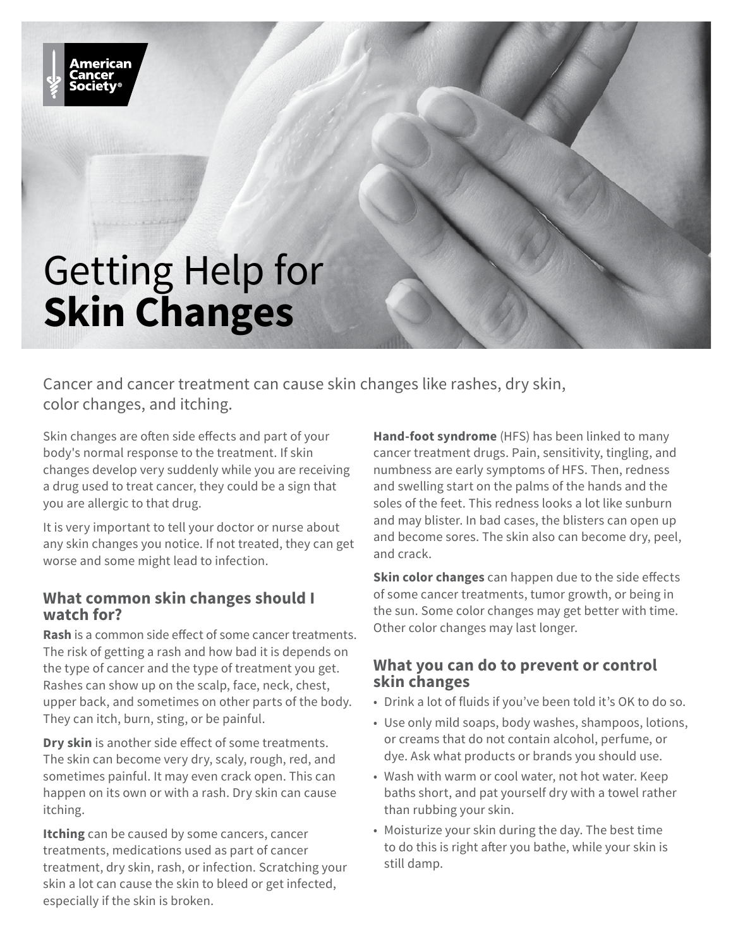

Cancer and cancer treatment can cause skin changes like rashes, dry skin, color changes, and itching.

Skin changes are often side effects and part of your body's normal response to the treatment. If skin changes develop very suddenly while you are receiving a drug used to treat cancer, they could be a sign that you are allergic to that drug.

It is very important to tell your doctor or nurse about any skin changes you notice. If not treated, they can get worse and some might lead to infection.

## **What common skin changes should I watch for?**

**Rash** is a common side effect of some cancer treatments. The risk of getting a rash and how bad it is depends on the type of cancer and the type of treatment you get. Rashes can show up on the scalp, face, neck, chest, upper back, and sometimes on other parts of the body. They can itch, burn, sting, or be painful.

**Dry skin** is another side effect of some treatments. The skin can become very dry, scaly, rough, red, and sometimes painful. It may even crack open. This can happen on its own or with a rash. Dry skin can cause itching.

**Itching** can be caused by some cancers, cancer treatments, medications used as part of cancer treatment, dry skin, rash, or infection. Scratching your skin a lot can cause the skin to bleed or get infected, especially if the skin is broken.

**Hand-foot syndrome** (HFS) has been linked to many cancer treatment drugs. Pain, sensitivity, tingling, and numbness are early symptoms of HFS. Then, redness and swelling start on the palms of the hands and the soles of the feet. This redness looks a lot like sunburn and may blister. In bad cases, the blisters can open up and become sores. The skin also can become dry, peel, and crack.

**Skin color changes** can happen due to the side effects of some cancer treatments, tumor growth, or being in the sun. Some color changes may get better with time. Other color changes may last longer.

## **What you can do to prevent or control skin changes**

- Drink a lot of fluids if you've been told it's OK to do so.
- Use only mild soaps, body washes, shampoos, lotions, or creams that do not contain alcohol, perfume, or dye. Ask what products or brands you should use.
- Wash with warm or cool water, not hot water. Keep baths short, and pat yourself dry with a towel rather than rubbing your skin.
- Moisturize your skin during the day. The best time to do this is right after you bathe, while your skin is still damp.